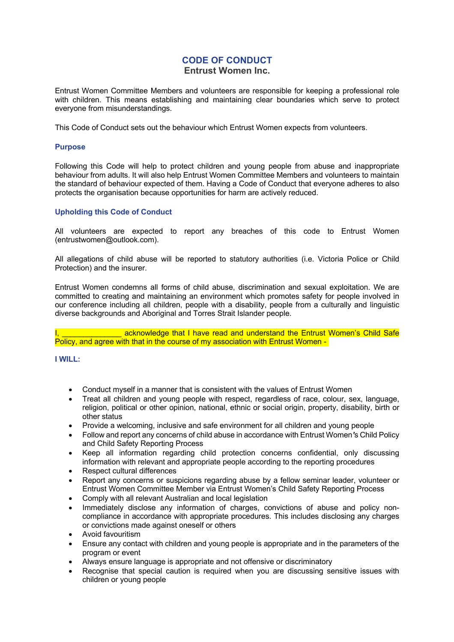## **CODE OF CONDUCT Entrust Women Inc.**

Entrust Women Committee Members and volunteers are responsible for keeping a professional role with children. This means establishing and maintaining clear boundaries which serve to protect everyone from misunderstandings.

This Code of Conduct sets out the behaviour which Entrust Women expects from volunteers.

## **Purpose**

Following this Code will help to protect children and young people from abuse and inappropriate behaviour from adults. It will also help Entrust Women Committee Members and volunteers to maintain the standard of behaviour expected of them. Having a Code of Conduct that everyone adheres to also protects the organisation because opportunities for harm are actively reduced.

## **Upholding this Code of Conduct**

All volunteers are expected to report any breaches of this code to Entrust Women (entrustwomen@outlook.com).

All allegations of child abuse will be reported to statutory authorities (i.e. Victoria Police or Child Protection) and the insurer.

Entrust Women condemns all forms of child abuse, discrimination and sexual exploitation. We are committed to creating and maintaining an environment which promotes safety for people involved in our conference including all children, people with a disability, people from a culturally and linguistic diverse backgrounds and Aboriginal and Torres Strait Islander people.

I, acknowledge that I have read and understand the Entrust Women's Child Safe Policy, and agree with that in the course of my association with Entrust Women -

**I WILL:**

- Conduct myself in a manner that is consistent with the values of Entrust Women
- Treat all children and young people with respect, regardless of race, colour, sex, language, religion, political or other opinion, national, ethnic or social origin, property, disability, birth or other status
- Provide a welcoming, inclusive and safe environment for all children and young people
- Follow and report any concerns of child abuse in accordance with Entrust Women*'*s Child Policy and Child Safety Reporting Process
- Keep all information regarding child protection concerns confidential, only discussing information with relevant and appropriate people according to the reporting procedures
- Respect cultural differences
- Report any concerns or suspicions regarding abuse by a fellow seminar leader, volunteer or Entrust Women Committee Member via Entrust Women's Child Safety Reporting Process
- Comply with all relevant Australian and local legislation
- Immediately disclose any information of charges, convictions of abuse and policy noncompliance in accordance with appropriate procedures. This includes disclosing any charges or convictions made against oneself or others
- Avoid favouritism
- Ensure any contact with children and young people is appropriate and in the parameters of the program or event
- Always ensure language is appropriate and not offensive or discriminatory
- Recognise that special caution is required when you are discussing sensitive issues with children or young people